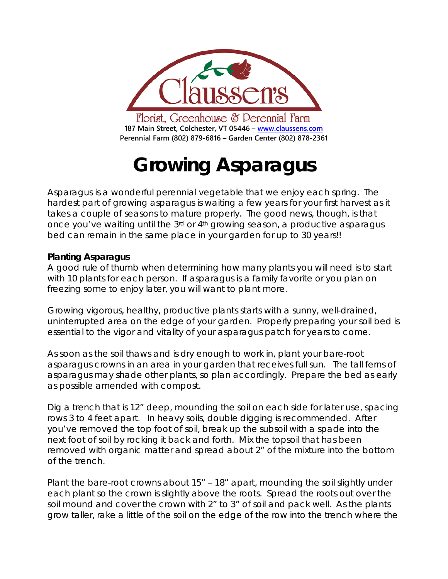

# **Growing Asparagus**

Asparagus is a wonderful perennial vegetable that we enjoy each spring. The hardest part of growing asparagus is waiting a few years for your first harvest as it takes a couple of seasons to mature properly. The good news, though, is that once you've waiting until the 3rd or 4th growing season, a productive asparagus bed can remain in the same place in your garden for up to 30 years!!

## **Planting Asparagus**

A good rule of thumb when determining how many plants you will need is to start with 10 plants for each person. If asparagus is a family favorite or you plan on freezing some to enjoy later, you will want to plant more.

Growing vigorous, healthy, productive plants starts with a sunny, well-drained, uninterrupted area on the edge of your garden. Properly preparing your soil bed is essential to the vigor and vitality of your asparagus patch for years to come.

As soon as the soil thaws and is dry enough to work in, plant your bare-root asparagus crowns in an area in your garden that receives full sun. The tall ferns of asparagus may shade other plants, so plan accordingly. Prepare the bed as early as possible amended with compost.

Dig a trench that is 12" deep, mounding the soil on each side for later use, spacing rows 3 to 4 feet apart. In heavy soils, double digging is recommended. After you've removed the top foot of soil, break up the subsoil with a spade into the next foot of soil by rocking it back and forth. Mix the topsoil that has been removed with organic matter and spread about 2" of the mixture into the bottom of the trench.

Plant the bare-root crowns about 15" – 18" apart, mounding the soil slightly under each plant so the crown is slightly above the roots. Spread the roots out over the soil mound and cover the crown with 2" to 3" of soil and pack well. As the plants grow taller, rake a little of the soil on the edge of the row into the trench where the